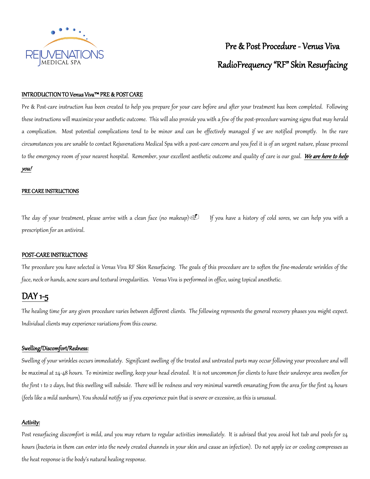

# Pre & Post Procedure - Venus Viva RadioFrequency "RF" Skin Resurfacing

#### INTRODUCTION TO Venus Viva™ PRE & POST CARE

Pre & Post-care instruction has been created to help you prepare for your care before and after your treatment has been completed. Following these instructions will maximize your aesthetic outcome. This will also provide you with a few of the post-procedure warning signs that may herald a complication. Most potential complications tend to be minor and can be effectively managed if we are notified promptly. In the rare circumstances you are unable to contact Rejuvenations Medical Spa with a post-care concern and you feel it is of an urgent nature, please proceed to the emergency room of your nearest hospital. Remember, your excellent aesthetic outcome and quality of care is our goal. We are here to help you!

#### PRE CARE INSTRUCTIONS i<br>I

The day of your treatment, please arrive with a clean face (no makeup) **I** If you have a history of cold sores, we can help you with a prescription for an antiviral.

#### POST-CARE INSTRUCTIONS

The procedure you have selected is Venus Viva RF Skin Resurfacing. The goals of this procedure are to soften the fine-moderate wrinkles of the face, neck or hands, acne scars and textural irregularities. Venus Viva is performed in office, using topical anesthetic.

## DAY 1-5

The healing time for any given procedure varies between different clients. The following represents the general recovery phases you might expect. Individual clients may experience variations from this course.

#### Swelling/Discomfort/Redness:

Swelling of your wrinkles occurs immediately. Significant swelling of the treated and untreated parts may occur following your procedure and will be maximal at 24-48 hours. To minimize swelling, keep your head elevated. It is not uncommon for clients to have their undereye area swollen for the first 1 to 2 days, but this swelling will subside. There will be redness and very minimal warmth emanating from the area for the first 24 hours (feels like a mild sunburn). You should notify us if you experience pain that is severe or excessive, as this is unusual.

#### Activity:

Post resurfacing discomfort is mild, and you may return to regular activities immediately. It is advised that you avoid hot tub and pools for 24 hours (bacteria in them can enter into the newly created channels in your skin and cause an infection). Do not apply ice or cooling compresses as the heat response is the body's natural healing response.